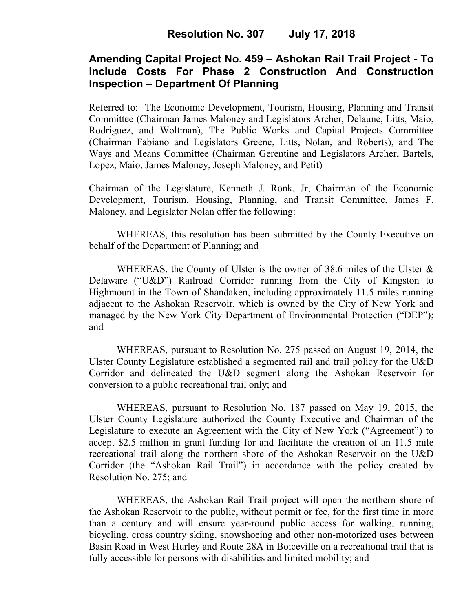# **Amending Capital Project No. 459 – Ashokan Rail Trail Project - To Include Costs For Phase 2 Construction And Construction Inspection – Department Of Planning**

Referred to: The Economic Development, Tourism, Housing, Planning and Transit Committee (Chairman James Maloney and Legislators Archer, Delaune, Litts, Maio, Rodriguez, and Woltman), The Public Works and Capital Projects Committee (Chairman Fabiano and Legislators Greene, Litts, Nolan, and Roberts), and The Ways and Means Committee (Chairman Gerentine and Legislators Archer, Bartels, Lopez, Maio, James Maloney, Joseph Maloney, and Petit)

Chairman of the Legislature, Kenneth J. Ronk, Jr, Chairman of the Economic Development, Tourism, Housing, Planning, and Transit Committee, James F. Maloney, and Legislator Nolan offer the following:

WHEREAS, this resolution has been submitted by the County Executive on behalf of the Department of Planning; and

WHEREAS, the County of Ulster is the owner of 38.6 miles of the Ulster  $\&$ Delaware ("U&D") Railroad Corridor running from the City of Kingston to Highmount in the Town of Shandaken, including approximately 11.5 miles running adjacent to the Ashokan Reservoir, which is owned by the City of New York and managed by the New York City Department of Environmental Protection ("DEP"); and

WHEREAS, pursuant to Resolution No. 275 passed on August 19, 2014, the Ulster County Legislature established a segmented rail and trail policy for the U&D Corridor and delineated the U&D segment along the Ashokan Reservoir for conversion to a public recreational trail only; and

WHEREAS, pursuant to Resolution No. 187 passed on May 19, 2015, the Ulster County Legislature authorized the County Executive and Chairman of the Legislature to execute an Agreement with the City of New York ("Agreement") to accept \$2.5 million in grant funding for and facilitate the creation of an 11.5 mile recreational trail along the northern shore of the Ashokan Reservoir on the U&D Corridor (the "Ashokan Rail Trail") in accordance with the policy created by Resolution No. 275; and

WHEREAS, the Ashokan Rail Trail project will open the northern shore of the Ashokan Reservoir to the public, without permit or fee, for the first time in more than a century and will ensure year-round public access for walking, running, bicycling, cross country skiing, snowshoeing and other non-motorized uses between Basin Road in West Hurley and Route 28A in Boiceville on a recreational trail that is fully accessible for persons with disabilities and limited mobility; and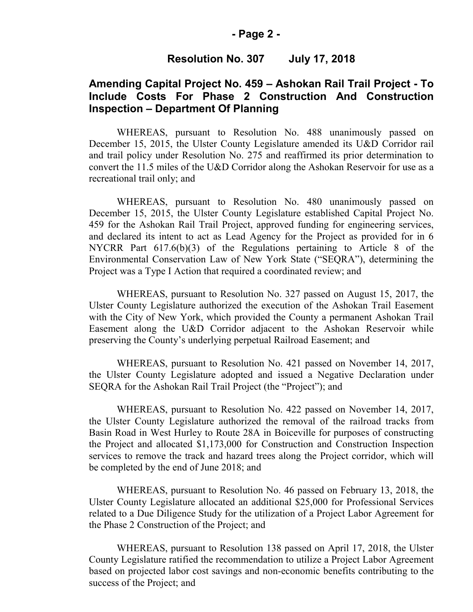#### **- Page 2 -**

### **Resolution No. 307 July 17, 2018**

# **Amending Capital Project No. 459 – Ashokan Rail Trail Project - To Include Costs For Phase 2 Construction And Construction Inspection – Department Of Planning**

WHEREAS, pursuant to Resolution No. 488 unanimously passed on December 15, 2015, the Ulster County Legislature amended its U&D Corridor rail and trail policy under Resolution No. 275 and reaffirmed its prior determination to convert the 11.5 miles of the U&D Corridor along the Ashokan Reservoir for use as a recreational trail only; and

WHEREAS, pursuant to Resolution No. 480 unanimously passed on December 15, 2015, the Ulster County Legislature established Capital Project No. 459 for the Ashokan Rail Trail Project, approved funding for engineering services, and declared its intent to act as Lead Agency for the Project as provided for in 6 NYCRR Part 617.6(b)(3) of the Regulations pertaining to Article 8 of the Environmental Conservation Law of New York State ("SEQRA"), determining the Project was a Type I Action that required a coordinated review; and

WHEREAS, pursuant to Resolution No. 327 passed on August 15, 2017, the Ulster County Legislature authorized the execution of the Ashokan Trail Easement with the City of New York, which provided the County a permanent Ashokan Trail Easement along the U&D Corridor adjacent to the Ashokan Reservoir while preserving the County's underlying perpetual Railroad Easement; and

WHEREAS, pursuant to Resolution No. 421 passed on November 14, 2017, the Ulster County Legislature adopted and issued a Negative Declaration under SEQRA for the Ashokan Rail Trail Project (the "Project"); and

WHEREAS, pursuant to Resolution No. 422 passed on November 14, 2017, the Ulster County Legislature authorized the removal of the railroad tracks from Basin Road in West Hurley to Route 28A in Boiceville for purposes of constructing the Project and allocated \$1,173,000 for Construction and Construction Inspection services to remove the track and hazard trees along the Project corridor, which will be completed by the end of June 2018; and

WHEREAS, pursuant to Resolution No. 46 passed on February 13, 2018, the Ulster County Legislature allocated an additional \$25,000 for Professional Services related to a Due Diligence Study for the utilization of a Project Labor Agreement for the Phase 2 Construction of the Project; and

WHEREAS, pursuant to Resolution 138 passed on April 17, 2018, the Ulster County Legislature ratified the recommendation to utilize a Project Labor Agreement based on projected labor cost savings and non-economic benefits contributing to the success of the Project; and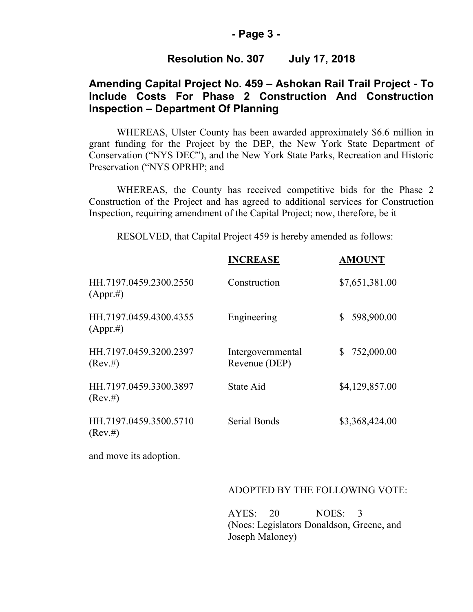#### **- Page 3 -**

## **Resolution No. 307 July 17, 2018**

# **Amending Capital Project No. 459 – Ashokan Rail Trail Project - To Include Costs For Phase 2 Construction And Construction Inspection – Department Of Planning**

WHEREAS, Ulster County has been awarded approximately \$6.6 million in grant funding for the Project by the DEP, the New York State Department of Conservation ("NYS DEC"), and the New York State Parks, Recreation and Historic Preservation ("NYS OPRHP; and

WHEREAS, the County has received competitive bids for the Phase 2 Construction of the Project and has agreed to additional services for Construction Inspection, requiring amendment of the Capital Project; now, therefore, be it

RESOLVED, that Capital Project 459 is hereby amended as follows:

|                                        | <b>INCREASE</b>                    | <b>AMOUNT</b>             |
|----------------------------------------|------------------------------------|---------------------------|
| HH.7197.0459.2300.2550<br>$(Appr. \#)$ | Construction                       | \$7,651,381.00            |
| HH.7197.0459.4300.4355<br>$(Appr. \#)$ | Engineering                        | 598,900.00<br>\$          |
| HH.7197.0459.3200.2397<br>(Rev. #)     | Intergovernmental<br>Revenue (DEP) | 752,000.00<br>$\mathbb S$ |
| HH.7197.0459.3300.3897<br>(Rev. #)     | State Aid                          | \$4,129,857.00            |
| HH.7197.0459.3500.5710<br>(Rev. #)     | <b>Serial Bonds</b>                | \$3,368,424.00            |
| and move its adoption.                 |                                    |                           |

#### ADOPTED BY THE FOLLOWING VOTE:

AYES: 20 NOES: 3 (Noes: Legislators Donaldson, Greene, and Joseph Maloney)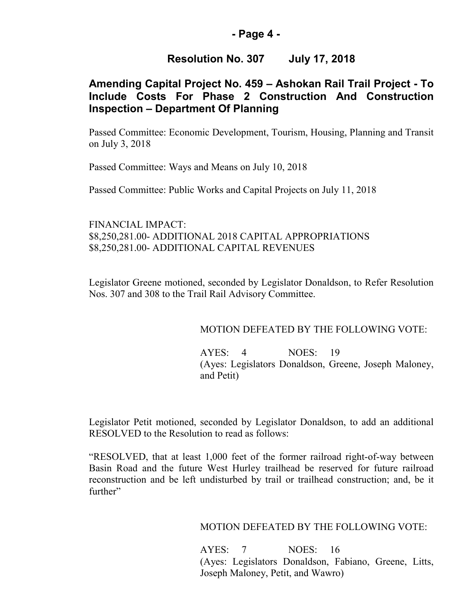## **- Page 4 -**

# **Resolution No. 307 July 17, 2018**

# **Amending Capital Project No. 459 – Ashokan Rail Trail Project - To Include Costs For Phase 2 Construction And Construction Inspection – Department Of Planning**

Passed Committee: Economic Development, Tourism, Housing, Planning and Transit on July 3, 2018

Passed Committee: Ways and Means on July 10, 2018

Passed Committee: Public Works and Capital Projects on July 11, 2018

## FINANCIAL IMPACT: \$8,250,281.00- ADDITIONAL 2018 CAPITAL APPROPRIATIONS \$8,250,281.00- ADDITIONAL CAPITAL REVENUES

Legislator Greene motioned, seconded by Legislator Donaldson, to Refer Resolution Nos. 307 and 308 to the Trail Rail Advisory Committee.

## MOTION DEFEATED BY THE FOLLOWING VOTE:

AYES: 4 NOES: 19 (Ayes: Legislators Donaldson, Greene, Joseph Maloney, and Petit)

Legislator Petit motioned, seconded by Legislator Donaldson, to add an additional RESOLVED to the Resolution to read as follows:

"RESOLVED, that at least 1,000 feet of the former railroad right-of-way between Basin Road and the future West Hurley trailhead be reserved for future railroad reconstruction and be left undisturbed by trail or trailhead construction; and, be it further"

MOTION DEFEATED BY THE FOLLOWING VOTE:

AYES: 7 NOES: 16 (Ayes: Legislators Donaldson, Fabiano, Greene, Litts, Joseph Maloney, Petit, and Wawro)